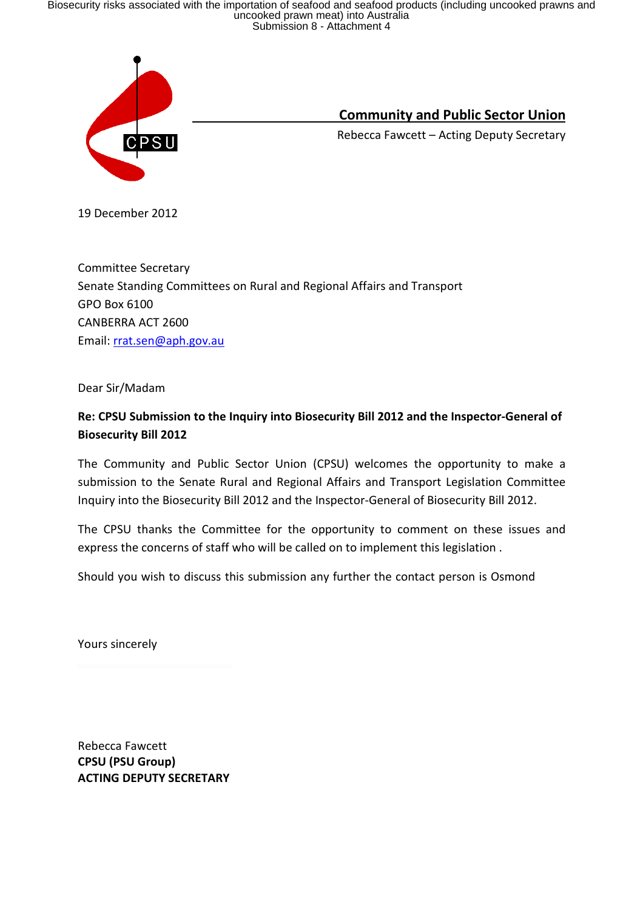Biosecurity risks associated with the importation of seafood and seafood products (including uncooked prawns and<br>uncooked prawn meat) into Australia<br>Submission 8 - Attachment 4



Community and Public Sector Union

Rebecca Fawcett – Acting Deputy Secretary

19 December 2012

Committee Secretary Senate Standing Committees on Rural and Regional Affairs and Transport GPO Box 6100 CANBERRA ACT 2600 Email: rrat.sen@aph.gov.au

Dear Sir/Madam

### Re: CPSU Submission to the Inquiry into Biosecurity Bill 2012 and the Inspector-General of Biosecurity Bill 2012

The Community and Public Sector Union (CPSU) welcomes the opportunity to make a submission to the Senate Rural and Regional Affairs and Transport Legislation Committee Inquiry into the Biosecurity Bill 2012 and the Inspector-General of Biosecurity Bill 2012.

The CPSU thanks the Committee for the opportunity to comment on these issues and express the concerns of staff who will be called on to implement this legislation .

Should you wish to discuss this submission any further the contact person is Osmond

Yours sincerely

Rebecca Fawcett CPSU (PSU Group) ACTING DEPUTY SECRETARY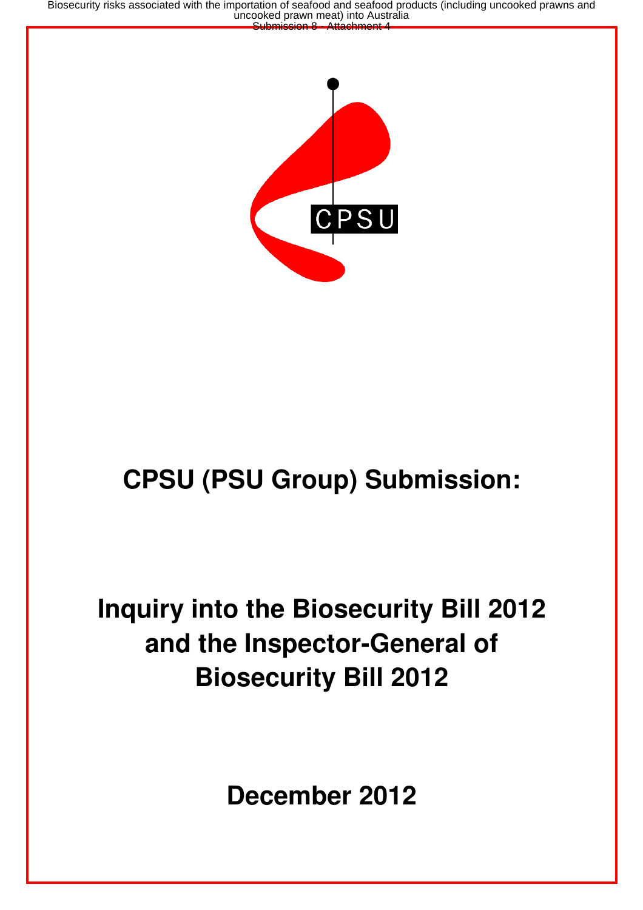Biosecurity risks associated with the importation of seafood and seafood products (including uncooked prawns and<br>uncooked prawn meat) into Australia<br>Submission 8 - Attachment 4



# **CPSU (PSU Group) Submission:**

# **Inquiry into the Biosecurity Bill 2012 and the Inspector-General of Biosecurity Bill 2012**

**December 2012**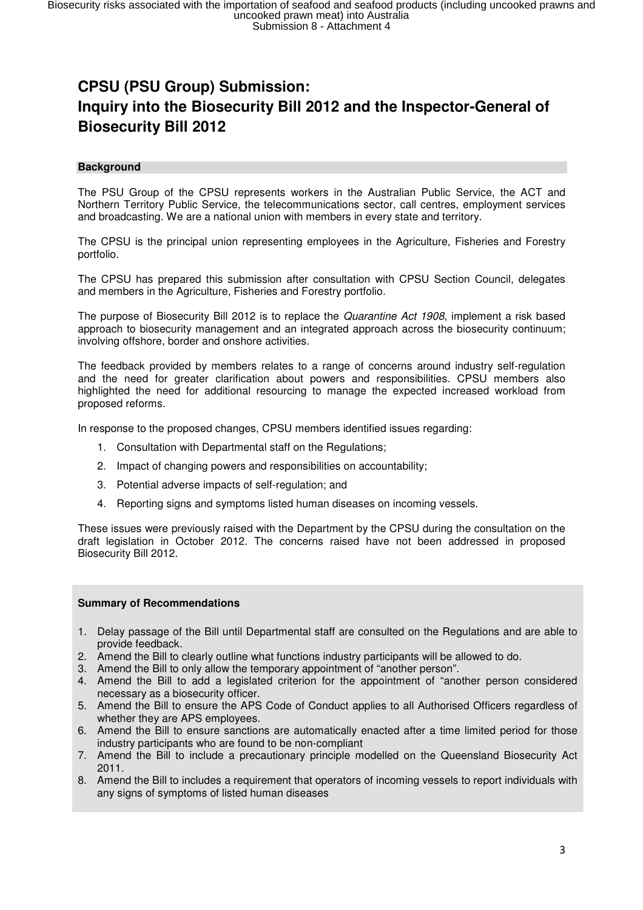### **CPSU (PSU Group) Submission: Inquiry into the Biosecurity Bill 2012 and the Inspector-General of Biosecurity Bill 2012**

#### **Background**

The PSU Group of the CPSU represents workers in the Australian Public Service, the ACT and Northern Territory Public Service, the telecommunications sector, call centres, employment services and broadcasting. We are a national union with members in every state and territory.

The CPSU is the principal union representing employees in the Agriculture, Fisheries and Forestry portfolio.

The CPSU has prepared this submission after consultation with CPSU Section Council, delegates and members in the Agriculture, Fisheries and Forestry portfolio.

The purpose of Biosecurity Bill 2012 is to replace the Quarantine Act 1908, implement a risk based approach to biosecurity management and an integrated approach across the biosecurity continuum; involving offshore, border and onshore activities.

The feedback provided by members relates to a range of concerns around industry self-regulation and the need for greater clarification about powers and responsibilities. CPSU members also highlighted the need for additional resourcing to manage the expected increased workload from proposed reforms.

In response to the proposed changes, CPSU members identified issues regarding:

- 1. Consultation with Departmental staff on the Regulations;
- 2. Impact of changing powers and responsibilities on accountability;
- 3. Potential adverse impacts of self-regulation; and
- 4. Reporting signs and symptoms listed human diseases on incoming vessels.

These issues were previously raised with the Department by the CPSU during the consultation on the draft legislation in October 2012. The concerns raised have not been addressed in proposed Biosecurity Bill 2012.

#### **Summary of Recommendations**

- 1. Delay passage of the Bill until Departmental staff are consulted on the Regulations and are able to provide feedback.
- 2. Amend the Bill to clearly outline what functions industry participants will be allowed to do.
- 3. Amend the Bill to only allow the temporary appointment of "another person".
- 4. Amend the Bill to add a legislated criterion for the appointment of "another person considered necessary as a biosecurity officer.
- 5. Amend the Bill to ensure the APS Code of Conduct applies to all Authorised Officers regardless of whether they are APS employees.
- 6. Amend the Bill to ensure sanctions are automatically enacted after a time limited period for those industry participants who are found to be non-compliant
- 7. Amend the Bill to include a precautionary principle modelled on the Queensland Biosecurity Act 2011.
- 8. Amend the Bill to includes a requirement that operators of incoming vessels to report individuals with any signs of symptoms of listed human diseases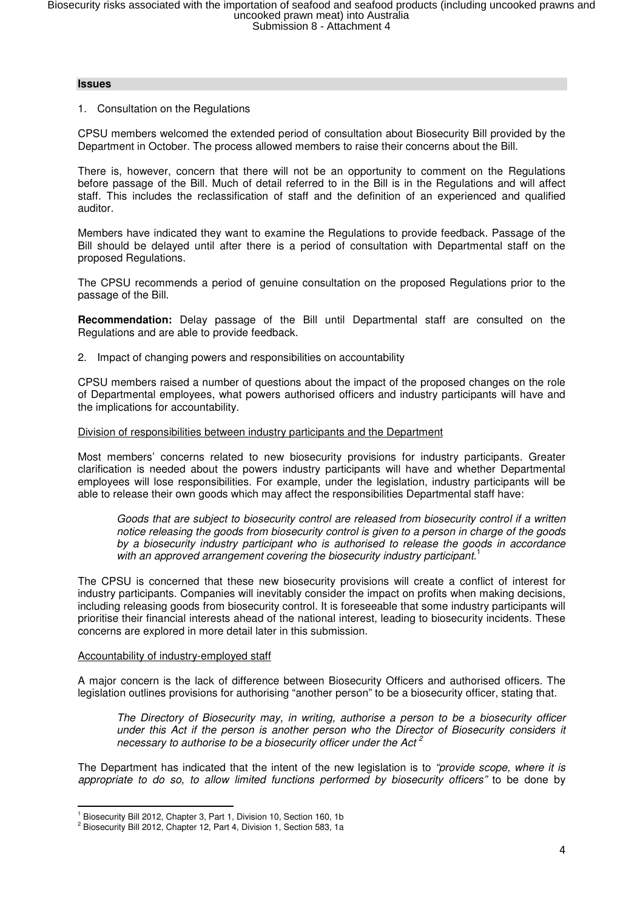#### **Issues**

#### 1. Consultation on the Regulations

CPSU members welcomed the extended period of consultation about Biosecurity Bill provided by the Department in October. The process allowed members to raise their concerns about the Bill.

There is, however, concern that there will not be an opportunity to comment on the Regulations before passage of the Bill. Much of detail referred to in the Bill is in the Regulations and will affect staff. This includes the reclassification of staff and the definition of an experienced and qualified auditor.

Members have indicated they want to examine the Regulations to provide feedback. Passage of the Bill should be delayed until after there is a period of consultation with Departmental staff on the proposed Regulations.

The CPSU recommends a period of genuine consultation on the proposed Regulations prior to the passage of the Bill.

**Recommendation:** Delay passage of the Bill until Departmental staff are consulted on the Regulations and are able to provide feedback.

2. Impact of changing powers and responsibilities on accountability

CPSU members raised a number of questions about the impact of the proposed changes on the role of Departmental employees, what powers authorised officers and industry participants will have and the implications for accountability.

#### Division of responsibilities between industry participants and the Department

Most members' concerns related to new biosecurity provisions for industry participants. Greater clarification is needed about the powers industry participants will have and whether Departmental employees will lose responsibilities. For example, under the legislation, industry participants will be able to release their own goods which may affect the responsibilities Departmental staff have:

Goods that are subject to biosecurity control are released from biosecurity control if a written notice releasing the goods from biosecurity control is given to a person in charge of the goods by a biosecurity industry participant who is authorised to release the goods in accordance with an approved arrangement covering the biosecurity industry participant.<sup>1</sup>

The CPSU is concerned that these new biosecurity provisions will create a conflict of interest for industry participants. Companies will inevitably consider the impact on profits when making decisions, including releasing goods from biosecurity control. It is foreseeable that some industry participants will prioritise their financial interests ahead of the national interest, leading to biosecurity incidents. These concerns are explored in more detail later in this submission.

#### Accountability of industry-employed staff

l

A major concern is the lack of difference between Biosecurity Officers and authorised officers. The legislation outlines provisions for authorising "another person" to be a biosecurity officer, stating that.

The Directory of Biosecurity may, in writing, authorise a person to be a biosecurity officer under this Act if the person is another person who the Director of Biosecurity considers it necessary to authorise to be a biosecurity officer under the Act<sup>2</sup>

The Department has indicated that the intent of the new legislation is to "provide scope, where it is appropriate to do so, to allow limited functions performed by biosecurity officers" to be done by

<sup>&</sup>lt;sup>1</sup> Biosecurity Bill 2012, Chapter 3, Part 1, Division 10, Section 160, 1b

<sup>&</sup>lt;sup>2</sup> Biosecurity Bill 2012, Chapter 12, Part 4, Division 1, Section 583, 1a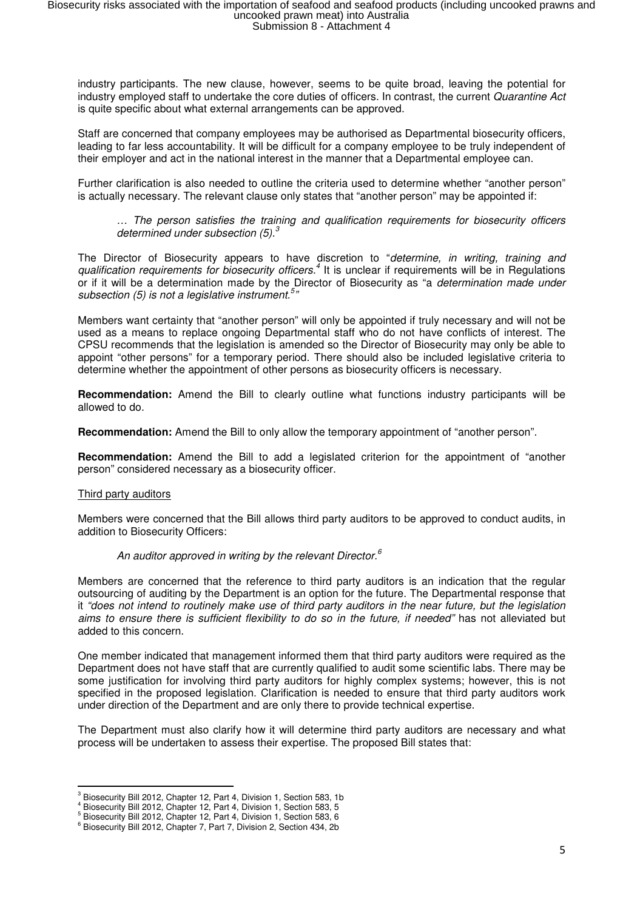industry participants. The new clause, however, seems to be quite broad, leaving the potential for industry employed staff to undertake the core duties of officers. In contrast, the current Quarantine Act is quite specific about what external arrangements can be approved.

Staff are concerned that company employees may be authorised as Departmental biosecurity officers, leading to far less accountability. It will be difficult for a company employee to be truly independent of their employer and act in the national interest in the manner that a Departmental employee can.

Further clarification is also needed to outline the criteria used to determine whether "another person" is actually necessary. The relevant clause only states that "another person" may be appointed if:

… The person satisfies the training and qualification requirements for biosecurity officers determined under subsection  $(5)$ .<sup>3</sup>

The Director of Biosecurity appears to have discretion to "determine, in writing, training and qualification requirements for biosecurity officers.<sup>4</sup> It is unclear if requirements will be in Regulations or if it will be a determination made by the Director of Biosecurity as "a determination made under subsection (5) is not a legislative instrument.<sup>5</sup>"

Members want certainty that "another person" will only be appointed if truly necessary and will not be used as a means to replace ongoing Departmental staff who do not have conflicts of interest. The CPSU recommends that the legislation is amended so the Director of Biosecurity may only be able to appoint "other persons" for a temporary period. There should also be included legislative criteria to determine whether the appointment of other persons as biosecurity officers is necessary.

**Recommendation:** Amend the Bill to clearly outline what functions industry participants will be allowed to do.

**Recommendation:** Amend the Bill to only allow the temporary appointment of "another person".

**Recommendation:** Amend the Bill to add a legislated criterion for the appointment of "another person" considered necessary as a biosecurity officer.

#### Third party auditors

 $\overline{\phantom{0}}$ 

Members were concerned that the Bill allows third party auditors to be approved to conduct audits, in addition to Biosecurity Officers:

#### An auditor approved in writing by the relevant Director. $6$

Members are concerned that the reference to third party auditors is an indication that the regular outsourcing of auditing by the Department is an option for the future. The Departmental response that it "does not intend to routinely make use of third party auditors in the near future, but the legislation aims to ensure there is sufficient flexibility to do so in the future, if needed" has not alleviated but added to this concern.

One member indicated that management informed them that third party auditors were required as the Department does not have staff that are currently qualified to audit some scientific labs. There may be some justification for involving third party auditors for highly complex systems; however, this is not specified in the proposed legislation. Clarification is needed to ensure that third party auditors work under direction of the Department and are only there to provide technical expertise.

The Department must also clarify how it will determine third party auditors are necessary and what process will be undertaken to assess their expertise. The proposed Bill states that:

<sup>&</sup>lt;sup>3</sup> Biosecurity Bill 2012, Chapter 12, Part 4, Division 1, Section 583, 1b

<sup>4</sup> Biosecurity Bill 2012, Chapter 12, Part 4, Division 1, Section 583, 5

<sup>&</sup>lt;sup>5</sup> Biosecurity Bill 2012, Chapter 12, Part 4, Division 1, Section 583, 6

<sup>6</sup> Biosecurity Bill 2012, Chapter 7, Part 7, Division 2, Section 434, 2b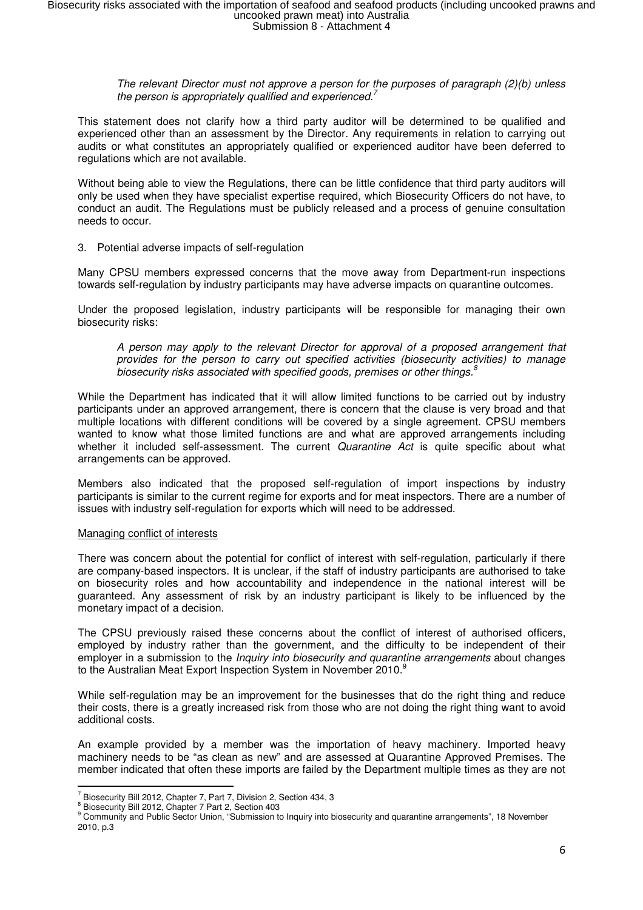#### The relevant Director must not approve a person for the purposes of paragraph (2)(b) unless the person is appropriately qualified and experienced.<sup>7</sup>

This statement does not clarify how a third party auditor will be determined to be qualified and experienced other than an assessment by the Director. Any requirements in relation to carrying out audits or what constitutes an appropriately qualified or experienced auditor have been deferred to regulations which are not available.

Without being able to view the Regulations, there can be little confidence that third party auditors will only be used when they have specialist expertise required, which Biosecurity Officers do not have, to conduct an audit. The Regulations must be publicly released and a process of genuine consultation needs to occur.

#### 3. Potential adverse impacts of self-regulation

Many CPSU members expressed concerns that the move away from Department-run inspections towards self-regulation by industry participants may have adverse impacts on quarantine outcomes.

Under the proposed legislation, industry participants will be responsible for managing their own biosecurity risks:

A person may apply to the relevant Director for approval of a proposed arrangement that provides for the person to carry out specified activities (biosecurity activities) to manage biosecurity risks associated with specified goods, premises or other things.<sup>8</sup>

While the Department has indicated that it will allow limited functions to be carried out by industry participants under an approved arrangement, there is concern that the clause is very broad and that multiple locations with different conditions will be covered by a single agreement. CPSU members wanted to know what those limited functions are and what are approved arrangements including whether it included self-assessment. The current Quarantine Act is quite specific about what arrangements can be approved.

Members also indicated that the proposed self-regulation of import inspections by industry participants is similar to the current regime for exports and for meat inspectors. There are a number of issues with industry self-regulation for exports which will need to be addressed.

#### Managing conflict of interests

There was concern about the potential for conflict of interest with self-regulation, particularly if there are company-based inspectors. It is unclear, if the staff of industry participants are authorised to take on biosecurity roles and how accountability and independence in the national interest will be guaranteed. Any assessment of risk by an industry participant is likely to be influenced by the monetary impact of a decision.

The CPSU previously raised these concerns about the conflict of interest of authorised officers, employed by industry rather than the government, and the difficulty to be independent of their employer in a submission to the *Inquiry into biosecurity and quarantine arrangements* about changes to the Australian Meat Export Inspection System in November 2010.<sup>9</sup>

While self-regulation may be an improvement for the businesses that do the right thing and reduce their costs, there is a greatly increased risk from those who are not doing the right thing want to avoid additional costs.

An example provided by a member was the importation of heavy machinery. Imported heavy machinery needs to be "as clean as new" and are assessed at Quarantine Approved Premises. The member indicated that often these imports are failed by the Department multiple times as they are not

 $\overline{\phantom{0}}$ 

<sup>&</sup>lt;sup>7</sup> Biosecurity Bill 2012, Chapter 7, Part 7, Division 2, Section 434, 3

<sup>&</sup>lt;sup>8</sup> Biosecurity Bill 2012, Chapter 7 Part 2, Section 403<br><sup>9</sup> Community and Public Sector Union, "Submission to Inquiry into biosecurity and quarantine arrangements", 18 November 2010, p.3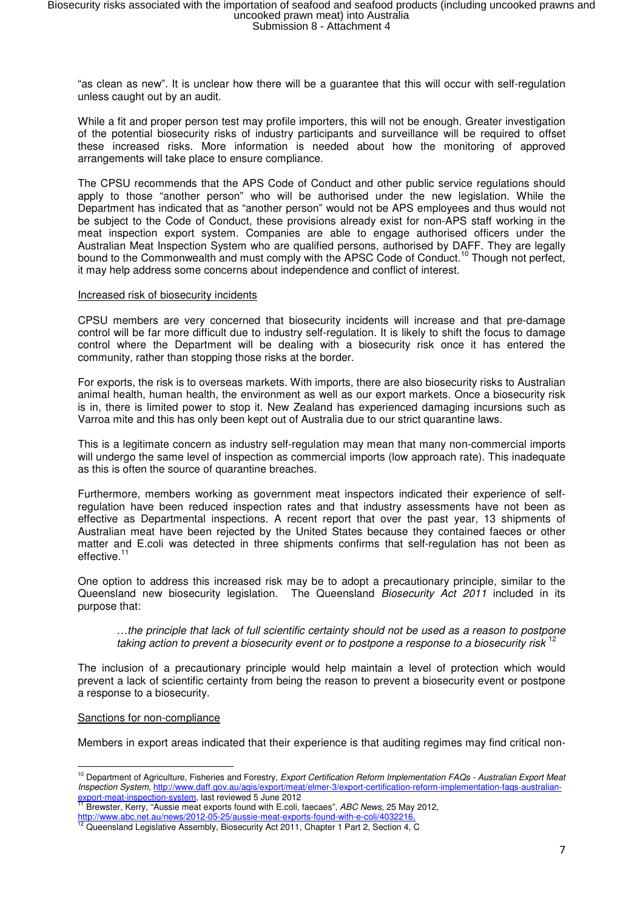"as clean as new". It is unclear how there will be a guarantee that this will occur with self-regulation unless caught out by an audit.

While a fit and proper person test may profile importers, this will not be enough. Greater investigation of the potential biosecurity risks of industry participants and surveillance will be required to offset these increased risks. More information is needed about how the monitoring of approved arrangements will take place to ensure compliance.

The CPSU recommends that the APS Code of Conduct and other public service regulations should apply to those "another person" who will be authorised under the new legislation. While the Department has indicated that as "another person" would not be APS employees and thus would not be subject to the Code of Conduct, these provisions already exist for non-APS staff working in the meat inspection export system. Companies are able to engage authorised officers under the Australian Meat Inspection System who are qualified persons, authorised by DAFF. They are legally bound to the Commonwealth and must comply with the APSC Code of Conduct.<sup>10</sup> Though not perfect. it may help address some concerns about independence and conflict of interest.

#### Increased risk of biosecurity incidents

CPSU members are very concerned that biosecurity incidents will increase and that pre-damage control will be far more difficult due to industry self-regulation. It is likely to shift the focus to damage control where the Department will be dealing with a biosecurity risk once it has entered the community, rather than stopping those risks at the border.

For exports, the risk is to overseas markets. With imports, there are also biosecurity risks to Australian animal health, human health, the environment as well as our export markets. Once a biosecurity risk is in, there is limited power to stop it. New Zealand has experienced damaging incursions such as Varroa mite and this has only been kept out of Australia due to our strict quarantine laws.

This is a legitimate concern as industry self-regulation may mean that many non-commercial imports will undergo the same level of inspection as commercial imports (low approach rate). This inadequate as this is often the source of quarantine breaches.

Furthermore, members working as government meat inspectors indicated their experience of selfregulation have been reduced inspection rates and that industry assessments have not been as effective as Departmental inspections. A recent report that over the past year, 13 shipments of Australian meat have been rejected by the United States because they contained faeces or other matter and E.coli was detected in three shipments confirms that self-regulation has not been as effective.<sup>1</sup>

One option to address this increased risk may be to adopt a precautionary principle, similar to the Queensland new biosecurity legislation. The Queensland Biosecurity Act 2011 included in its purpose that:

…the principle that lack of full scientific certainty should not be used as a reason to postpone taking action to prevent a biosecurity event or to postpone a response to a biosecurity risk <sup>12</sup>

The inclusion of a precautionary principle would help maintain a level of protection which would prevent a lack of scientific certainty from being the reason to prevent a biosecurity event or postpone a response to a biosecurity.

#### Sanctions for non-compliance

Members in export areas indicated that their experience is that auditing regimes may find critical non-

l <sup>10</sup> Department of Agriculture, Fisheries and Forestry, Export Certification Reform Implementation FAQs - Australian Export Meat Inspection System, http://www.daff.gov.au/aqis/export/meat/elmer-3/export-certification-reform-implementation-faqs-australianexport-meat-inspection-system, last reviewed 5 June 2012<br><sup>11</sup> Broughts, Karry <sup>64</sup>

Brewster, Kerry, "Aussie meat exports found with E.coli, faecaes", ABC News, 25 May 2012,

http://www.abc.net.au/news/2012-05-25/aussie-meat-exports-found-with-e-coli/403221

<sup>12</sup> Queensland Legislative Assembly, Biosecurity Act 2011, Chapter 1 Part 2, Section 4, C